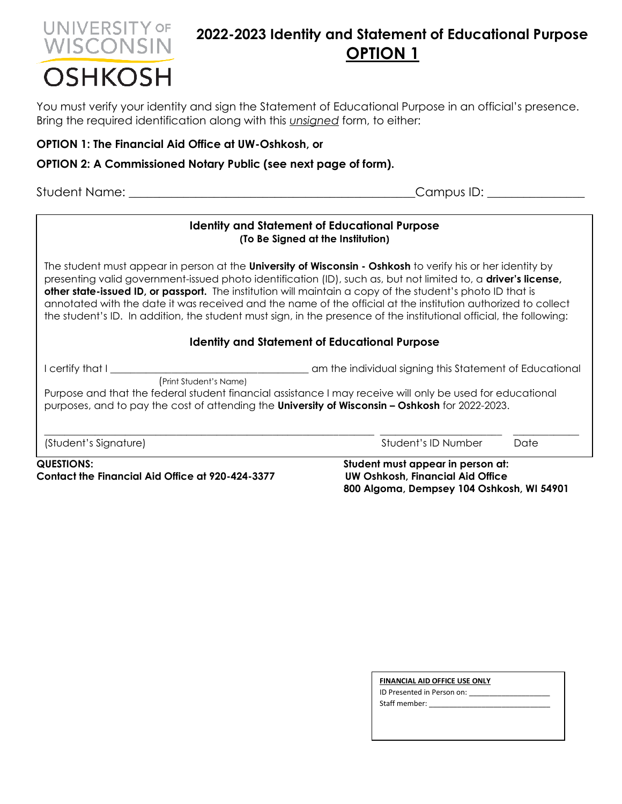# UNIVERSITY OF WISCONSIN **OSHKOSH**

## **2022-2023 Identity and Statement of Educational Purpose OPTION 1**

You must verify your identity and sign the Statement of Educational Purpose in an official's presence. Bring the required identification along with this *unsigned* form, to either:

### **OPTION 1: The Financial Aid Office at UW-Oshkosh, or**

#### **OPTION 2: A Commissioned Notary Public (see next page of form).**

Student Name: \_\_\_\_\_\_\_\_\_\_\_\_\_\_\_\_\_\_\_\_\_\_\_\_\_\_\_\_\_\_\_\_\_\_\_\_\_\_\_\_\_\_\_\_\_\_\_Campus ID: \_\_\_\_\_\_\_\_\_\_\_\_\_\_\_\_

#### **Identity and Statement of Educational Purpose (To Be Signed at the Institution)**

The student must appear in person at the **University of Wisconsin - Oshkosh** to verify his or her identity by presenting valid government-issued photo identification (ID), such as, but not limited to, a **driver's license, other state-issued ID, or passport.** The institution will maintain a copy of the student's photo ID that is annotated with the date it was received and the name of the official at the institution authorized to collect the student's ID. In addition, the student must sign, in the presence of the institutional official, the following:

#### **Identity and Statement of Educational Purpose**

I certify that I \_\_\_\_\_\_\_\_\_\_\_\_\_\_\_\_\_\_\_\_\_\_\_\_\_\_\_\_\_\_\_\_\_\_\_\_\_\_\_ am the individual signing this Statement of Educational

(Print Student's Name) Purpose and that the federal student financial assistance I may receive will only be used for educational purposes, and to pay the cost of attending the **University of Wisconsin – Oshkosh** for 2022-2023.

\_\_\_\_\_\_\_\_\_\_\_\_\_\_\_\_\_\_\_\_\_\_\_\_\_\_\_\_\_\_\_\_\_\_\_\_\_\_\_\_\_\_\_\_\_\_\_\_\_\_\_\_\_\_\_\_\_\_\_\_\_\_\_\_\_ \_\_\_\_\_\_\_\_\_\_\_\_\_\_\_\_\_\_\_\_\_\_\_\_ \_\_\_\_\_\_\_\_\_\_\_\_\_ (Student's Signature) Student's ID Number Date

**QUESTIONS: Student must appear in person at: Contact the Financial Aid Office at 920-424-3377 UW Oshkosh, Financial Aid Office** 

 **800 Algoma, Dempsey 104 Oshkosh, WI 54901**

| FINANCIAL AID OFFICE USE ONLY |  |  |
|-------------------------------|--|--|
| ID Presented in Person on:    |  |  |
| Staff member:                 |  |  |
|                               |  |  |